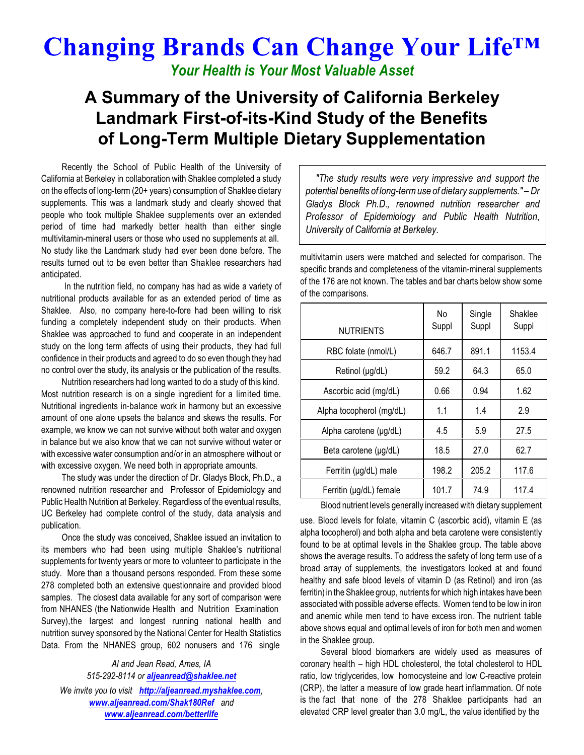## **Changing Brands Can Change Your Life™**

*Your Health is Your Most Valuable Asset*

## **A Summary of the University of California Berkeley Landmark First-of-its-Kind Study of the Benefits of Long-Term Multiple Dietary Supplementation**

Recently the School of Public Health of the University of California at Berkeley in collaboration with Shaklee completed a study on the effects of long-term (20+ years) consumption of Shaklee dietary supplements. This was a landmark study and clearly showed that people who took multiple Shaklee supplements over an extended period of time had markedly better health than either single multivitamin-mineral users or those who used no supplements at all. No study like the Landmark study had ever been done before. The results turned out to be even better than Shaklee researchers had anticipated.

In the nutrition field, no company has had as wide a variety of nutritional products available for as an extended period of time as Shaklee. Also, no company here-to-fore had been willing to risk funding a completely independent study on their products. When Shaklee was approached to fund and cooperate in an independent study on the long term affects of using their products, they had full confidence in their products and agreed to do so even though they had no control over the study, its analysis or the publication of the results.

Nutrition researchers had long wanted to do a study of this kind. Most nutrition research is on a single ingredient for a limited time. Nutritional ingredients in-balance work in harmony but an excessive amount of one alone upsets the balance and skews the results. For example, we know we can not survive without both water and oxygen in balance but we also know that we can not survive without water or with excessive water consumption and/or in an atmosphere without or with excessive oxygen. We need both in appropriate amounts.

The study was under the direction of Dr. Gladys Block, Ph.D., a renowned nutrition researcher and Professor of Epidemiology and Public Health Nutrition at Berkeley. Regardless of the eventual results, UC Berkeley had complete control of the study, data analysis and publication.

Once the study was conceived, Shaklee issued an invitation to its members who had been using multiple Shaklee's nutritional supplements for twenty years or more to volunteer to participate in the study. More than a thousand persons responded. From these some 278 completed both an extensive questionnaire and provided blood samples. The closest data available for any sort of comparison were from NHANES (the Nationwide Health and Nutrition Examination Survey),the largest and longest running national health and nutrition survey sponsored by the National Center for Health Statistics Data. From the NHANES group, 602 nonusers and 176 single

*Al and Jean Read, Ames, IA 515-292-8114 or [aljeanread@shaklee.net](mailto:aljeanread@shaklee.net) We invite you to visit <http://aljeanread.myshaklee.com>, [www.aljeanread.com/Shak180Ref](http://www.aljeanread.com/Shak180Ref) and [www.aljeanread.com/betterlife](http://www.aljeanread.com/betterlife)*

*"The study results were very impressive and support the potential benefits of long-term use of dietary supplements." – Dr Gladys Block Ph.D., renowned nutrition researcher and Professor of Epidemiology and Public Health Nutrition, University of California at Berkeley.*

multivitamin users were matched and selected for comparison. The specific brands and completeness of the vitamin-mineral supplements of the 176 are not known. The tables and bar charts below show some of the comparisons.

| <b>NUTRIENTS</b>         | No<br>Suppl | Single<br>Suppl | Shaklee<br>Suppl |
|--------------------------|-------------|-----------------|------------------|
| RBC folate (nmol/L)      | 646.7       | 891.1           | 1153.4           |
| Retinol (µg/dL)          | 59.2        | 64.3            | 65.0             |
| Ascorbic acid (mg/dL)    | 0.66        | 0.94            | 1.62             |
| Alpha tocopherol (mg/dL) | 1.1         | 1.4             | 2.9              |
| Alpha carotene (µg/dL)   | 4.5         | 5.9             | 27.5             |
| Beta carotene (µg/dL)    | 18.5        | 27.0            | 62.7             |
| Ferritin (µg/dL) male    | 198.2       | 205.2           | 117.6            |
| Ferritin (µg/dL) female  | 101.7       | 74.9            | 117.4            |

Blood nutrient levels generally increased with dietary supplement

use. Blood levels for folate, vitamin C (ascorbic acid), vitamin E (as alpha tocopherol) and both alpha and beta carotene were consistently found to be at optimal levels in the Shaklee group. The table above shows the average results. To address the safety of long term use of a broad array of supplements, the investigators looked at and found healthy and safe blood levels of vitamin D (as Retinol) and iron (as ferritin) in the Shaklee group, nutrients for which high intakes have been associated with possible adverse effects. Women tend to be low in iron and anemic while men tend to have excess iron. The nutrient table above shows equal and optimal levels of iron for both men and women in the Shaklee group.

Several blood biomarkers are widely used as measures of coronary health – high HDL cholesterol, the total cholesterol to HDL ratio, low triglycerides, low homocysteine and low C-reactive protein (CRP), the latter a measure of low grade heart inflammation. Of note is the fact that none of the 278 Shaklee participants had an elevated CRP level greater than 3.0 mg/L, the value identified by the